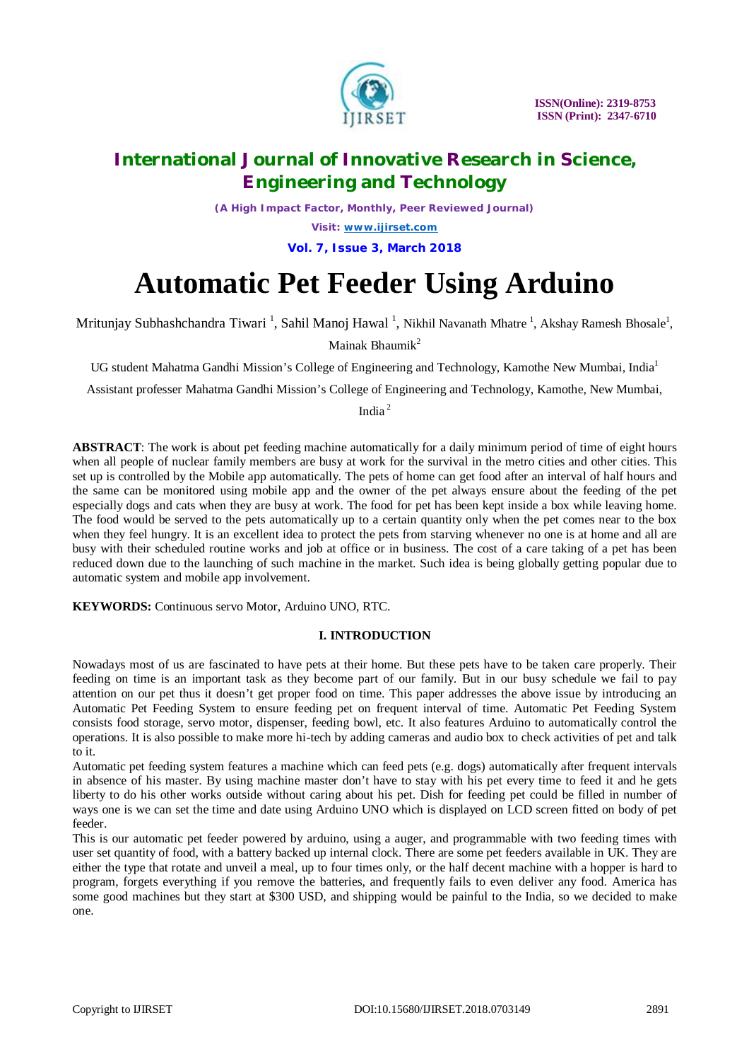

*(A High Impact Factor, Monthly, Peer Reviewed Journal)*

*Visit: [www.ijirset.com](http://www.ijirset.com)*

**Vol. 7, Issue 3, March 2018**

# **Automatic Pet Feeder Using Arduino**

Mritunjay Subhashchandra Tiwari<sup>1</sup>, Sahil Manoj Hawal<sup>1</sup>, Nikhil Navanath Mhatre<sup>1</sup>, Akshay Ramesh Bhosale<sup>1</sup>,

Mainak Bhaumik<sup>2</sup>

UG student Mahatma Gandhi Mission's College of Engineering and Technology, Kamothe New Mumbai, India<sup>1</sup>

Assistant professer Mahatma Gandhi Mission's College of Engineering and Technology, Kamothe, New Mumbai,

India <sup>2</sup>

**ABSTRACT**: The work is about pet feeding machine automatically for a daily minimum period of time of eight hours when all people of nuclear family members are busy at work for the survival in the metro cities and other cities. This set up is controlled by the Mobile app automatically. The pets of home can get food after an interval of half hours and the same can be monitored using mobile app and the owner of the pet always ensure about the feeding of the pet especially dogs and cats when they are busy at work. The food for pet has been kept inside a box while leaving home. The food would be served to the pets automatically up to a certain quantity only when the pet comes near to the box when they feel hungry. It is an excellent idea to protect the pets from starving whenever no one is at home and all are busy with their scheduled routine works and job at office or in business. The cost of a care taking of a pet has been reduced down due to the launching of such machine in the market. Such idea is being globally getting popular due to automatic system and mobile app involvement.

**KEYWORDS:** Continuous servo Motor, Arduino UNO, RTC.

### **I. INTRODUCTION**

Nowadays most of us are fascinated to have pets at their home. But these pets have to be taken care properly. Their feeding on time is an important task as they become part of our family. But in our busy schedule we fail to pay attention on our pet thus it doesn't get proper food on time. This paper addresses the above issue by introducing an Automatic Pet Feeding System to ensure feeding pet on frequent interval of time. Automatic Pet Feeding System consists food storage, servo motor, dispenser, feeding bowl, etc. It also features Arduino to automatically control the operations. It is also possible to make more hi-tech by adding cameras and audio box to check activities of pet and talk to it.

Automatic pet feeding system features a machine which can feed pets (e.g. dogs) automatically after frequent intervals in absence of his master. By using machine master don't have to stay with his pet every time to feed it and he gets liberty to do his other works outside without caring about his pet. Dish for feeding pet could be filled in number of ways one is we can set the time and date using Arduino UNO which is displayed on LCD screen fitted on body of pet feeder.

This is our automatic pet feeder powered by arduino, using a auger, and programmable with two feeding times with user set quantity of food, with a battery backed up internal clock. There are some pet feeders available in UK. They are either the type that rotate and unveil a meal, up to four times only, or the half decent machine with a hopper is hard to program, forgets everything if you remove the batteries, and frequently fails to even deliver any food. America has some good machines but they start at \$300 USD, and shipping would be painful to the India, so we decided to make one.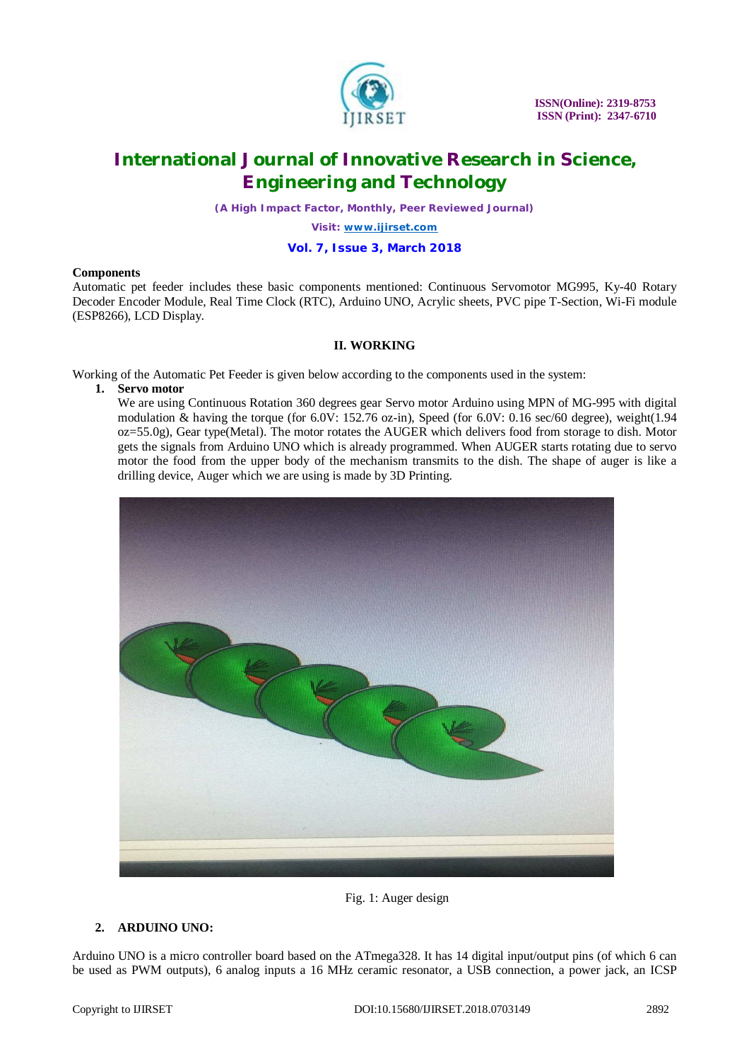

*(A High Impact Factor, Monthly, Peer Reviewed Journal)*

*Visit: [www.ijirset.com](http://www.ijirset.com)*

### **Vol. 7, Issue 3, March 2018**

### **Components**

Automatic pet feeder includes these basic components mentioned: Continuous Servomotor MG995, Ky-40 Rotary Decoder Encoder Module, Real Time Clock (RTC), Arduino UNO, Acrylic sheets, PVC pipe T-Section, Wi-Fi module (ESP8266), LCD Display.

### **II. WORKING**

Working of the Automatic Pet Feeder is given below according to the components used in the system:

#### **1. Servo motor**

We are using Continuous Rotation 360 degrees gear Servo motor Arduino using MPN of MG-995 with digital modulation & having the torque (for 6.0V: 152.76 oz-in), Speed (for 6.0V: 0.16 sec/60 degree), weight(1.94 oz=55.0g), Gear type(Metal). The motor rotates the AUGER which delivers food from storage to dish. Motor gets the signals from Arduino UNO which is already programmed. When AUGER starts rotating due to servo motor the food from the upper body of the mechanism transmits to the dish. The shape of auger is like a drilling device, Auger which we are using is made by 3D Printing.



Fig. 1: Auger design

### **2. ARDUINO UNO:**

Arduino UNO is a micro controller board based on the ATmega328. It has 14 digital input/output pins (of which 6 can be used as PWM outputs), 6 analog inputs a 16 MHz ceramic resonator, a USB connection, a power jack, an ICSP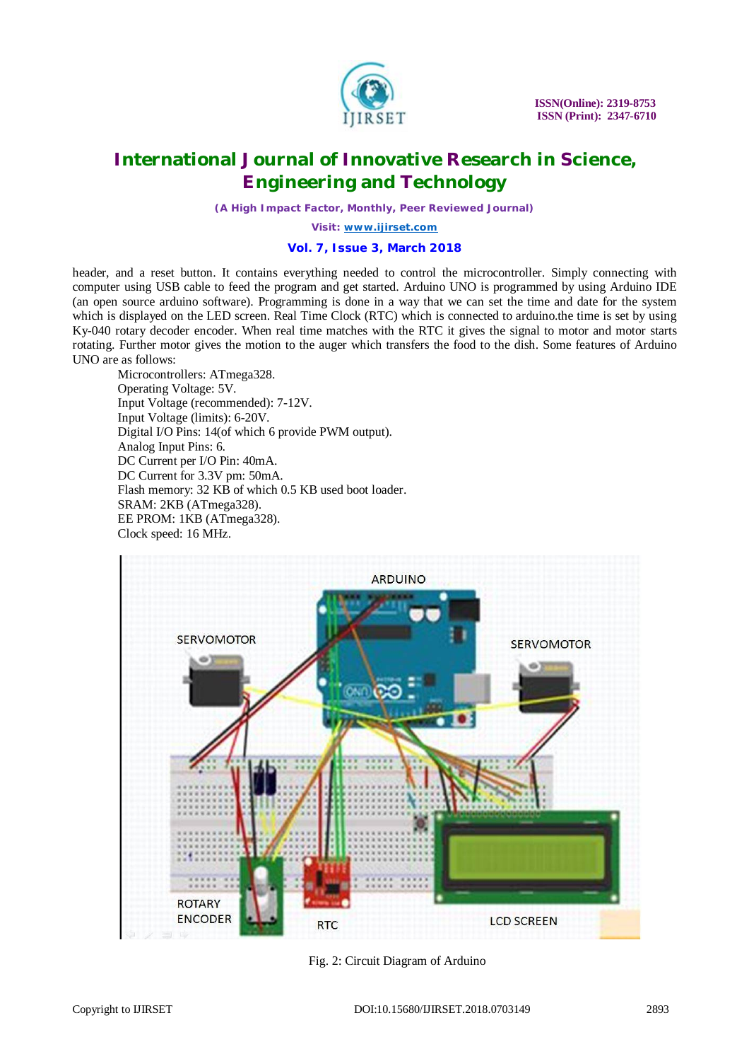

*(A High Impact Factor, Monthly, Peer Reviewed Journal)*

*Visit: [www.ijirset.com](http://www.ijirset.com)*

### **Vol. 7, Issue 3, March 2018**

header, and a reset button. It contains everything needed to control the microcontroller. Simply connecting with computer using USB cable to feed the program and get started. Arduino UNO is programmed by using Arduino IDE (an open source arduino software). Programming is done in a way that we can set the time and date for the system which is displayed on the LED screen. Real Time Clock (RTC) which is connected to arduino.the time is set by using Ky-040 rotary decoder encoder. When real time matches with the RTC it gives the signal to motor and motor starts rotating. Further motor gives the motion to the auger which transfers the food to the dish. Some features of Arduino UNO are as follows:

Microcontrollers: ATmega328. Operating Voltage: 5V. Input Voltage (recommended): 7-12V. Input Voltage (limits): 6-20V. Digital I/O Pins: 14(of which 6 provide PWM output). Analog Input Pins: 6. DC Current per I/O Pin: 40mA. DC Current for 3.3V pm: 50mA. Flash memory: 32 KB of which 0.5 KB used boot loader. SRAM: 2KB (ATmega328). EE PROM: 1KB (ATmega328). Clock speed: 16 MHz.



Fig. 2: Circuit Diagram of Arduino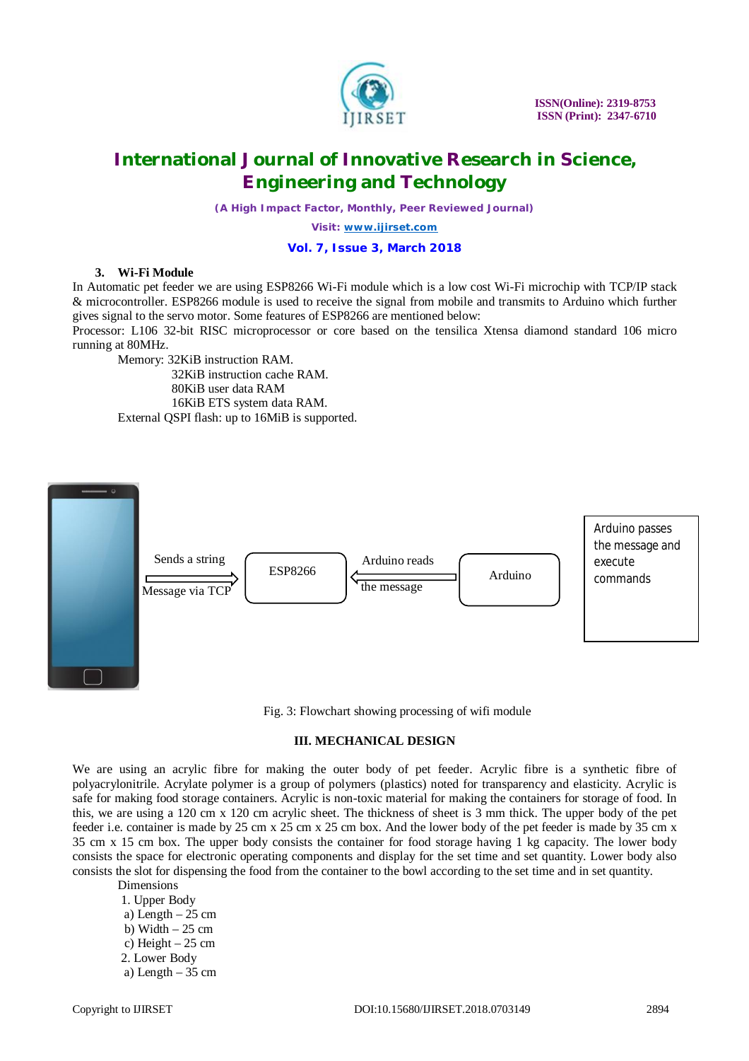

*(A High Impact Factor, Monthly, Peer Reviewed Journal)*

*Visit: [www.ijirset.com](http://www.ijirset.com)*

#### **Vol. 7, Issue 3, March 2018**

#### **3. Wi-Fi Module**

In Automatic pet feeder we are using ESP8266 Wi-Fi module which is a low cost Wi-Fi microchip with TCP/IP stack & microcontroller. ESP8266 module is used to receive the signal from mobile and transmits to Arduino which further gives signal to the servo motor. Some features of ESP8266 are mentioned below:

Processor: L106 32-bit RISC microprocessor or core based on the tensilica Xtensa diamond standard 106 micro running at 80MHz.

Memory: 32KiB instruction RAM.

 32KiB instruction cache RAM. 80KiB user data RAM 16KiB ETS system data RAM. External QSPI flash: up to 16MiB is supported.



Fig. 3: Flowchart showing processing of wifi module

#### **III. MECHANICAL DESIGN**

We are using an acrylic fibre for making the outer body of pet feeder. Acrylic fibre is a synthetic fibre of polyacrylonitrile. Acrylate polymer is a group of polymers (plastics) noted for transparency and elasticity. Acrylic is safe for making food storage containers. Acrylic is non-toxic material for making the containers for storage of food. In this, we are using a 120 cm x 120 cm acrylic sheet. The thickness of sheet is 3 mm thick. The upper body of the pet feeder i.e. container is made by 25 cm x 25 cm x 25 cm box. And the lower body of the pet feeder is made by 35 cm x 35 cm x 15 cm box. The upper body consists the container for food storage having 1 kg capacity. The lower body consists the space for electronic operating components and display for the set time and set quantity. Lower body also consists the slot for dispensing the food from the container to the bowl according to the set time and in set quantity.

Dimensions 1. Upper Body a) Length  $-25$  cm b) Width  $-25$  cm c) Height  $-25$  cm 2. Lower Body a) Length  $-35$  cm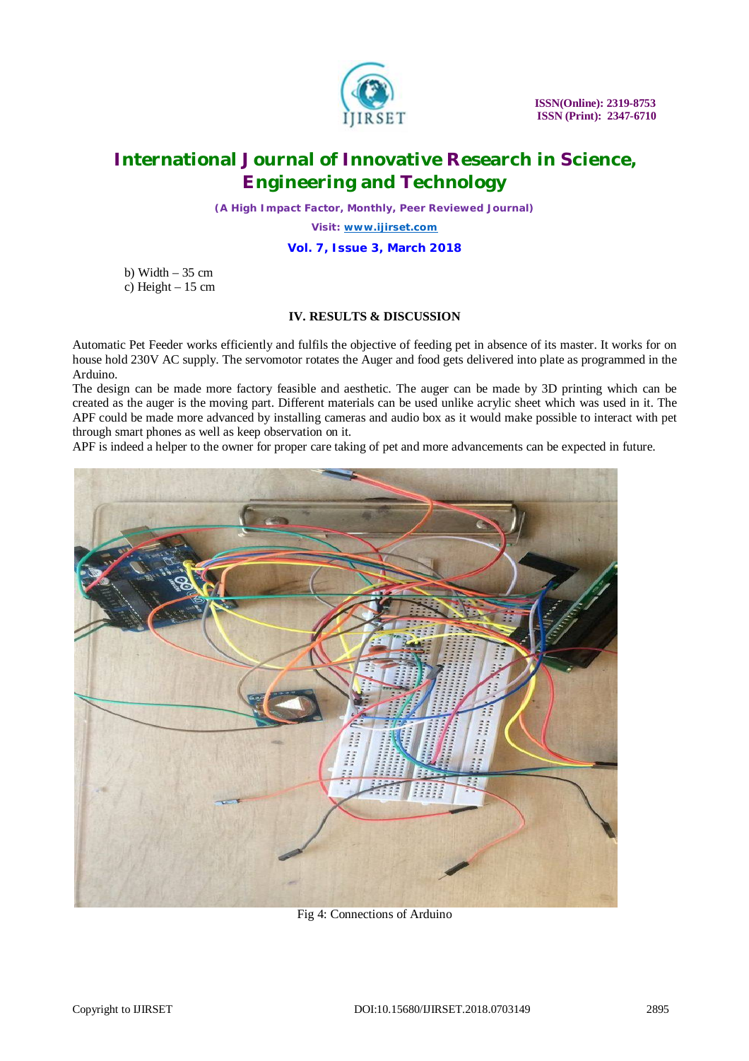

*(A High Impact Factor, Monthly, Peer Reviewed Journal)*

*Visit: [www.ijirset.com](http://www.ijirset.com)*

### **Vol. 7, Issue 3, March 2018**

b) Width  $-35$  cm c) Height  $-15$  cm

### **IV. RESULTS & DISCUSSION**

Automatic Pet Feeder works efficiently and fulfils the objective of feeding pet in absence of its master. It works for on house hold 230V AC supply. The servomotor rotates the Auger and food gets delivered into plate as programmed in the Arduino.

The design can be made more factory feasible and aesthetic. The auger can be made by 3D printing which can be created as the auger is the moving part. Different materials can be used unlike acrylic sheet which was used in it. The APF could be made more advanced by installing cameras and audio box as it would make possible to interact with pet through smart phones as well as keep observation on it.

APF is indeed a helper to the owner for proper care taking of pet and more advancements can be expected in future.



Fig 4: Connections of Arduino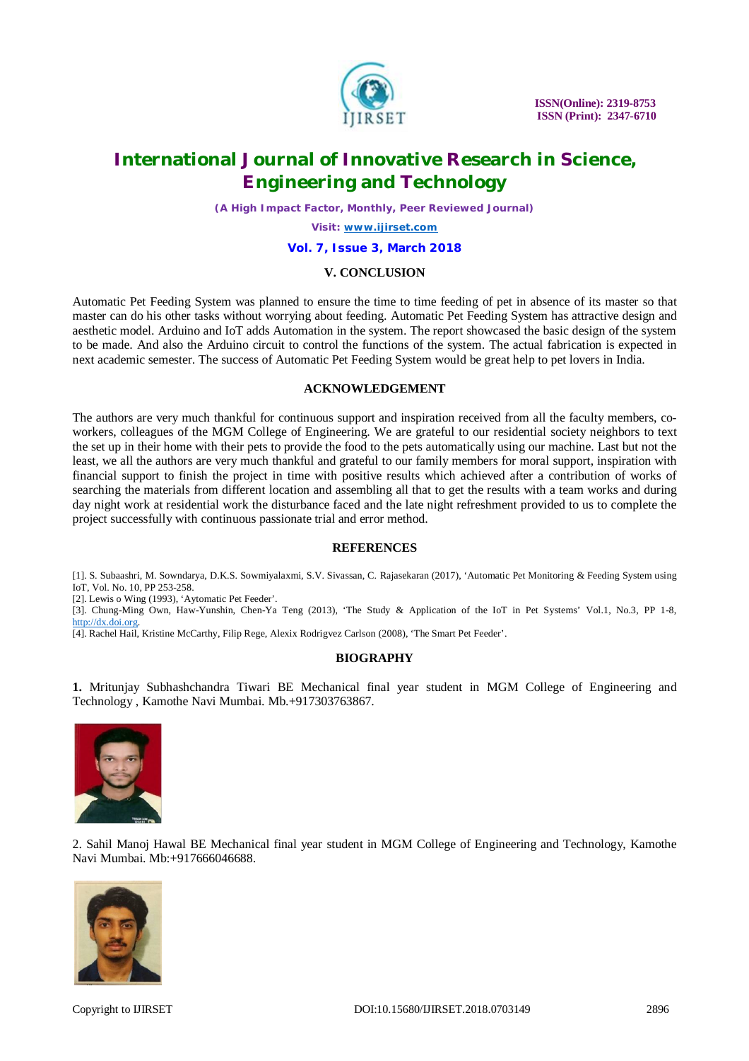

*(A High Impact Factor, Monthly, Peer Reviewed Journal)*

*Visit: [www.ijirset.com](http://www.ijirset.com)*

#### **Vol. 7, Issue 3, March 2018**

#### **V. CONCLUSION**

Automatic Pet Feeding System was planned to ensure the time to time feeding of pet in absence of its master so that master can do his other tasks without worrying about feeding. Automatic Pet Feeding System has attractive design and aesthetic model. Arduino and IoT adds Automation in the system. The report showcased the basic design of the system to be made. And also the Arduino circuit to control the functions of the system. The actual fabrication is expected in next academic semester. The success of Automatic Pet Feeding System would be great help to pet lovers in India.

#### **ACKNOWLEDGEMENT**

The authors are very much thankful for continuous support and inspiration received from all the faculty members, coworkers, colleagues of the MGM College of Engineering. We are grateful to our residential society neighbors to text the set up in their home with their pets to provide the food to the pets automatically using our machine. Last but not the least, we all the authors are very much thankful and grateful to our family members for moral support, inspiration with financial support to finish the project in time with positive results which achieved after a contribution of works of searching the materials from different location and assembling all that to get the results with a team works and during day night work at residential work the disturbance faced and the late night refreshment provided to us to complete the project successfully with continuous passionate trial and error method.

#### **REFERENCES**

[1]. S. Subaashri, M. Sowndarya, D.K.S. Sowmiyalaxmi, S.V. Sivassan, C. Rajasekaran (2017), 'Automatic Pet Monitoring & Feeding System using IoT, Vol. No. 10, PP 253-258.

[2]. Lewis o Wing (1993), 'Aytomatic Pet Feeder'.

[3]. Chung-Ming Own, Haw-Yunshin, Chen-Ya Teng (2013), 'The Study & Application of the IoT in Pet Systems' Vol.1, No.3, PP 1-8, <http://dx.doi.org.>

[4]. Rachel Hail, Kristine McCarthy, Filip Rege, Alexix Rodrigvez Carlson (2008), 'The Smart Pet Feeder'.

#### **BIOGRAPHY**

**1.** Mritunjay Subhashchandra Tiwari BE Mechanical final year student in MGM College of Engineering and Technology , Kamothe Navi Mumbai. Mb.+917303763867.



2. Sahil Manoj Hawal BE Mechanical final year student in MGM College of Engineering and Technology, Kamothe Navi Mumbai. Mb:+917666046688.